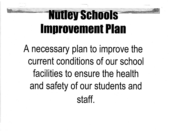'S,

A necessary plan to improve the current conditions of our school facilities to ensure the health and safety of our students and staff.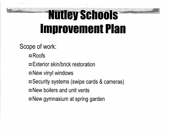- - ~ j:

Scope of work: ■Roofs ■ Exterior skin/brick restoration  $\blacksquare$  New vinyl windows ■ Security systems (swipe cards & cameras) **E** New boilers and unit vents  $\blacksquare$  New gymnasium at spring garden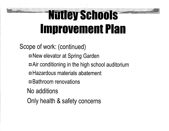Scope of work: (continued) ■ New elevator at Spring Garden  $\blacksquare$  Air conditioning in the high school auditorium ■ Hazardous materials abatement  $\blacksquare$  Bathroom renovations No additions Only health & safety concerns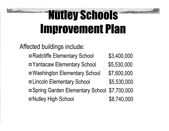Affected buildings include: ■ Radcliffe Elementary School \$3,400,000 ■ Yantacaw Elementary School \$5,530,000 ■ Washington Elementary School \$7,600,000 ■ Lincoln Elementary School \$5,530,000 ■ Spring Garden Elementary School \$7,700,000 ■ Nutley High School \$8,740,000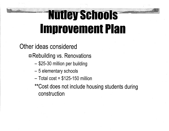Other ideas considered

■ Rebuilding vs. Renovations

- \$25-30 million per building
- 5 elementary schools
- $-$  Total cost = \$125-150 million

\*\*Cost does not include housing students during construction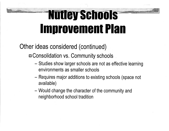Other ideas considered (continued)

■ Consolidation vs. Community schools

- Studies show larger schools are not as effective learning environments as smaller schools
- Requires major additions to existing schools (space not available)
- Would change the character of the community and neighborhood school tradition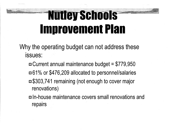Why the operating budget can not address these issues:

 $\blacksquare$  Current annual maintenance budget = \$779,950 ■61% or \$476,209 allocated to personnel/salaries ■\$303,741 remaining (not enough to cover major renovations)

■In-house maintenance covers small renovations and repairs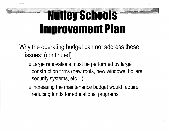Why the operating budget can not address these issues: ( continued)

■ Large renovations must be performed by large construction firms (new roofs, new windows, boilers, security systems, etc...)

■ Increasing the maintenance budget would require reducing funds for educational programs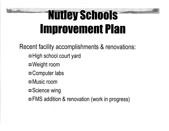Recent facility accomplishments & renovations: ■ High school court yard ■ Weight room ■ Computer labs ■ Music room ■Science wing ■ FMS addition & renovation (work in progress)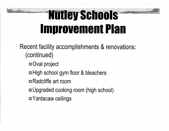Recent facility accomplishments & renovations: (continued)

■ Oval project

 $\blacksquare$  High school gym floor & bleachers

m Radcliffe art room

■ Upgraded cooking room (high school)

■ Yantacaw ceilings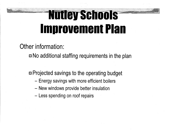Other information:

 $\blacksquare$  No additional staffing requirements in the plan

 $\blacksquare$  Projected savings to the operating budget

- Energy savings with more efficient boilers
- New windows provide better insulation
- Less spending on roof repairs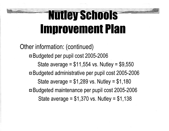Other information: (continued) ■Budgeted per pupil cost 2005-2006 State average =  $$11,554$  vs. Nutley =  $$9,550$ ■Budgeted administrative per pupil cost 2005-2006 State average =  $$1,289$  vs. Nutley =  $$1,180$ ■Budgeted maintenance per pupil cost 2005-2006 State average  $= $1,370$  vs. Nutley  $= $1,138$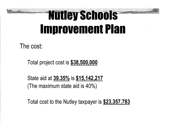The cost:

Total project cost is **\$38,500,000** 

State aid at **39.35o/o** is **\$15,142,217**  {The maximum state aid is 40°/o)

Total cost to the Nutley taxpayer is **\$23,357,783**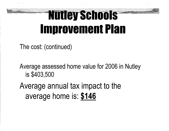The cost: (continued)

Average assessed home value for 2006 in Nutley is \$403,500

Average annual tax impact to the average home is: **\$146**